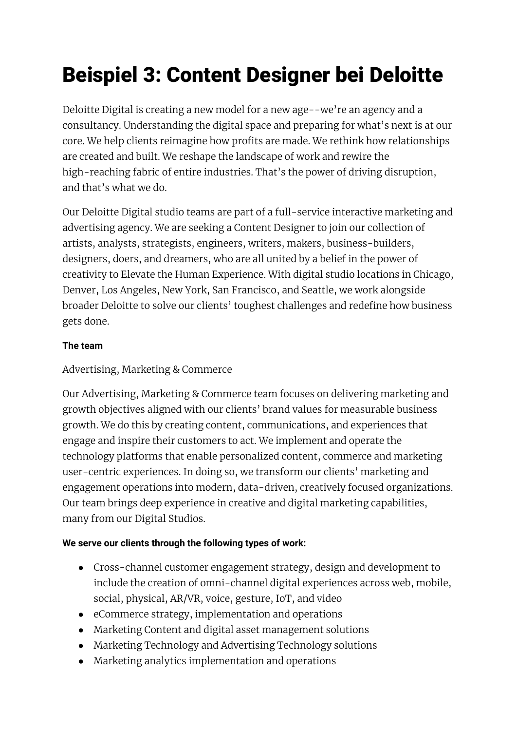# Beispiel 3: Content Designer bei Deloitte

Deloitte Digital is creating a new model for a new age--we're an agency and a consultancy. Understanding the digital space and preparing for what's next is at our core. We help clients reimagine how profits are made. We rethink how relationships are created and built. We reshape the landscape of work and rewire the high-reaching fabric of entire industries. That's the power of driving disruption, and that's what we do.

Our Deloitte Digital studio teams are part of a full-service interactive marketing and advertising agency. We are seeking a Content Designer to join our collection of artists, analysts, strategists, engineers, writers, makers, business-builders, designers, doers, and dreamers, who are all united by a belief in the power of creativity to Elevate the Human Experience. With digital studio locations in Chicago, Denver, Los Angeles, New York, San Francisco, and Seattle, we work alongside broader Deloitte to solve our clients' toughest challenges and redefine how business gets done.

#### **The team**

# Advertising, Marketing & Commerce

Our Advertising, Marketing & Commerce team focuses on delivering marketing and growth objectives aligned with our clients' brand values for measurable business growth. We do this by creating content, communications, and experiences that engage and inspire their customers to act. We implement and operate the technology platforms that enable personalized content, commerce and marketing user-centric experiences. In doing so, we transform our clients' marketing and engagement operations into modern, data-driven, creatively focused organizations. Our team brings deep experience in creative and digital marketing capabilities, many from our Digital Studios.

### **We serve our clients through the following types of work:**

- Cross-channel customer engagement strategy, design and development to include the creation of omni-channel digital experiences across web, mobile, social, physical, AR/VR, voice, gesture, IoT, and video
- eCommerce strategy, implementation and operations
- Marketing Content and digital asset management solutions
- Marketing Technology and Advertising Technology solutions
- Marketing analytics implementation and operations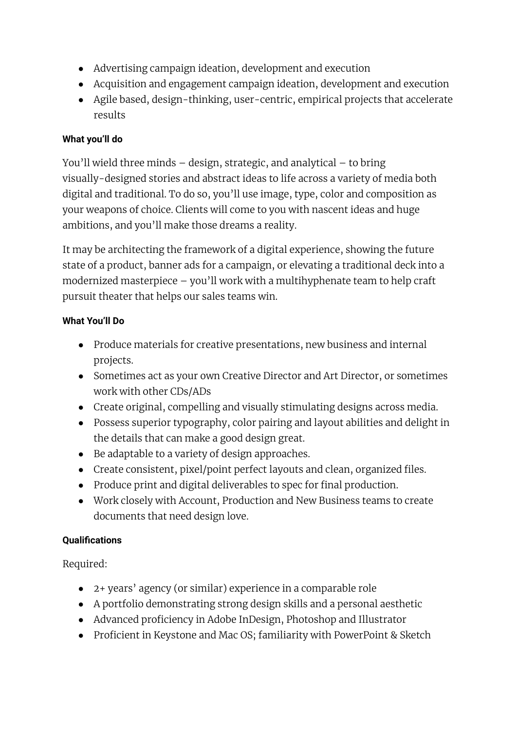- Advertising campaign ideation, development and execution
- Acquisition and engagement campaign ideation, development and execution
- Agile based, design-thinking, user-centric, empirical projects that accelerate results

# **What you'll do**

You'll wield three minds – design, strategic, and analytical – to bring visually-designed stories and abstract ideas to life across a variety of media both digital and traditional. To do so, you'll use image, type, color and composition as your weapons of choice. Clients will come to you with nascent ideas and huge ambitions, and you'll make those dreams a reality.

It may be architecting the framework of a digital experience, showing the future state of a product, banner ads for a campaign, or elevating a traditional deck into a modernized masterpiece – you'll work with a multihyphenate team to help craft pursuit theater that helps our sales teams win.

# **What You'll Do**

- Produce materials for creative presentations, new business and internal projects.
- Sometimes act as your own Creative Director and Art Director, or sometimes work with other CDs/ADs
- Create original, compelling and visually stimulating designs across media.
- Possess superior typography, color pairing and layout abilities and delight in the details that can make a good design great.
- Be adaptable to a variety of design approaches.
- Create consistent, pixel/point perfect layouts and clean, organized files.
- Produce print and digital deliverables to spec for final production.
- Work closely with Account, Production and New Business teams to create documents that need design love.

### **Qualifications**

Required:

- 2+ years' agency (or similar) experience in a comparable role
- A portfolio demonstrating strong design skills and a personal aesthetic
- Advanced proficiency in Adobe InDesign, Photoshop and Illustrator
- Proficient in Keystone and Mac OS; familiarity with PowerPoint & Sketch